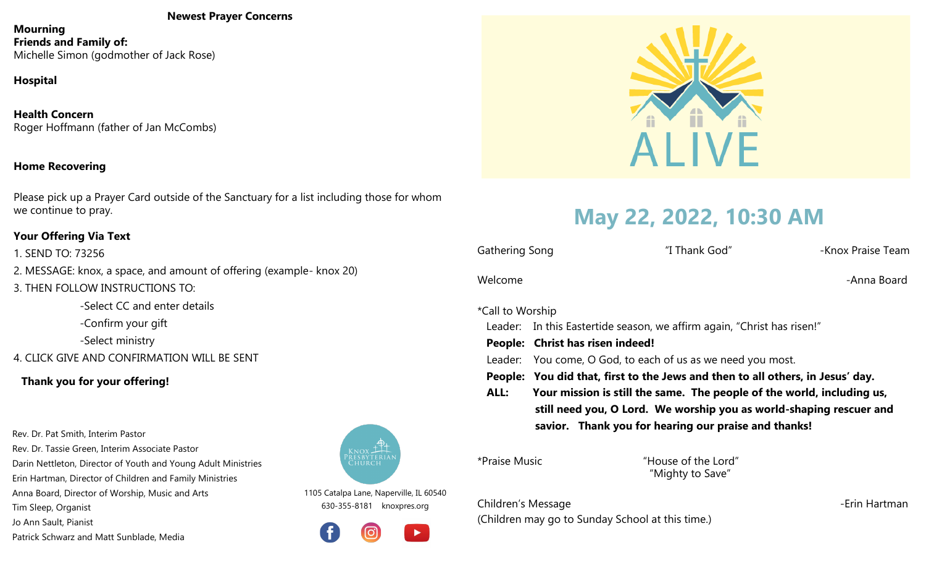#### **Newest Prayer Concerns**

**Mourning Friends and Family of:** Michelle Simon (godmother of Jack Rose)

### **Hospital**

**Health Concern** Roger Hoffmann (father of Jan McCombs)

#### **Home Recovering**

Please pick up a Prayer Card outside of the Sanctuary for a list including those for whom we continue to pray.

#### **Your Offering Via Text**

1. SEND TO: 73256

- 2. MESSAGE: knox, a space, and amount of offering (example- knox 20)
- 3. THEN FOLLOW INSTRUCTIONS TO:

-Select CC and enter details -Confirm your gift -Select ministry

4. CLICK GIVE AND CONFIRMATION WILL BE SENT

#### **Thank you for your offering!**

Rev. Dr. Pat Smith, Interim Pastor Rev. Dr. Tassie Green, Interim Associate Pastor Darin Nettleton, Director of Youth and Young Adult Ministries Erin Hartman, Director of Children and Family Ministries Anna Board, Director of Worship, Music and Arts Tim Sleep, Organist Jo Ann Sault, Pianist

Patrick Schwarz and Matt Sunblade, Media



1105 Catalpa Lane, Naperville, IL 60540 630-355-8181 knoxpres.org





## **May 22, 2022, 10:30 AM**

| Gathering Song   |                                                                                | "I Thank God" | -Knox Praise Team                                                      |
|------------------|--------------------------------------------------------------------------------|---------------|------------------------------------------------------------------------|
| Welcome          |                                                                                |               | -Anna Board                                                            |
| *Call to Worship |                                                                                |               |                                                                        |
|                  | Leader: In this Eastertide season, we affirm again, "Christ has risen!"        |               |                                                                        |
|                  | People: Christ has risen indeed!                                               |               |                                                                        |
|                  | Leader: You come, O God, to each of us as we need you most.                    |               |                                                                        |
|                  | People: You did that, first to the Jews and then to all others, in Jesus' day. |               |                                                                        |
| ALL:             |                                                                                |               | Your mission is still the same. The people of the world, including us, |
|                  | still need you, O Lord. We worship you as world-shaping rescuer and            |               |                                                                        |
|                  | savior. Thank you for hearing our praise and thanks!                           |               |                                                                        |
|                  |                                                                                |               |                                                                        |

**\*Praise Music** 

"House of the Lord" "Mighty to Save"

Children's Message -Erin Hartman (Children may go to Sunday School at this time.)